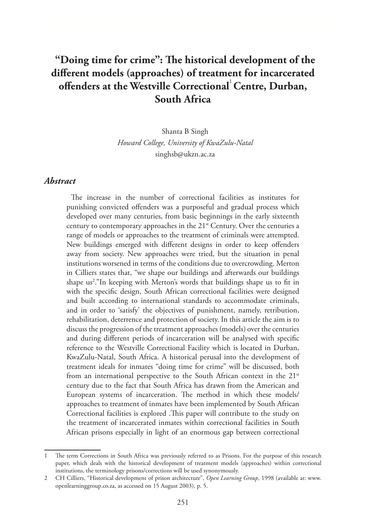# **"Doing time for crime": The historical development of the different models (approaches) of treatment for incarcerated**  offenders at the Westville Correctional<sup>1</sup> Centre, Durban, **South Africa**

Shanta B Singh *Howard College, University of KwaZulu-Natal* singhsb@ukzn.ac.za

#### *Abstract*

The increase in the number of correctional facilities as institutes for punishing convicted offenders was a purposeful and gradual process which developed over many centuries, from basic beginnings in the early sixteenth century to contemporary approaches in the  $21<sup>st</sup>$  Century. Over the centuries a range of models or approaches to the treatment of criminals were attempted. New buildings emerged with different designs in order to keep offenders away from society. New approaches were tried, but the situation in penal institutions worsened in terms of the conditions due to overcrowding. Merton in Cilliers states that, "we shape our buildings and afterwards our buildings shape us2 ."In keeping with Merton's words that buildings shape us to fit in with the specific design, South African correctional facilities were designed and built according to international standards to accommodate criminals, and in order to 'satisfy' the objectives of punishment, namely, retribution, rehabilitation, deterrence and protection of society. In this article the aim is to discuss the progression of the treatment approaches (models) over the centuries and during different periods of incarceration will be analysed with specific reference to the Westville Correctional Facility which is located in Durban, KwaZulu-Natal, South Africa. A historical perusal into the development of treatment ideals for inmates "doing time for crime" will be discussed, both from an international perspective to the South African context in the  $21^{st}$ century due to the fact that South Africa has drawn from the American and European systems of incarceration. The method in which these models/ approaches to treatment of inmates have been implemented by South African Correctional facilities is explored .This paper will contribute to the study on the treatment of incarcerated inmates within correctional facilities in South African prisons especially in light of an enormous gap between correctional

<sup>1</sup> The term Corrections in South Africa was previously referred to as Prisons. For the purpose of this research paper, which deals with the historical development of treatment models (approaches) within correctional institutions, the terminology prisons/corrections will be used synonymously.

<sup>2</sup> CH Cilliers, "Historical development of prison architecture", *Open Learning Group*, 1998 (available at: www. openlearninggroup.co.za, as accessed on 15 August 2003), p. 5.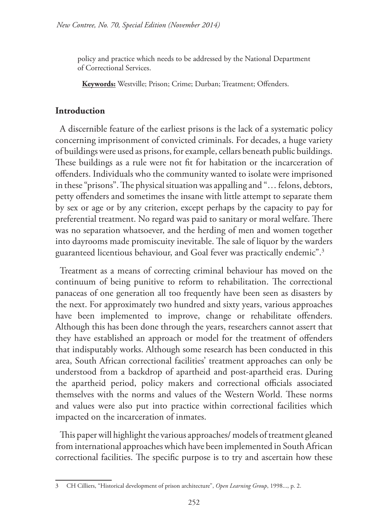policy and practice which needs to be addressed by the National Department of Correctional Services.

**Keywords:** Westville; Prison; Crime; Durban; Treatment; Offenders.

### **Introduction**

A discernible feature of the earliest prisons is the lack of a systematic policy concerning imprisonment of convicted criminals. For decades, a huge variety of buildings were used as prisons, for example, cellars beneath public buildings. These buildings as a rule were not fit for habitation or the incarceration of offenders. Individuals who the community wanted to isolate were imprisoned in these "prisons". The physical situation was appalling and "… felons, debtors, petty offenders and sometimes the insane with little attempt to separate them by sex or age or by any criterion, except perhaps by the capacity to pay for preferential treatment. No regard was paid to sanitary or moral welfare. There was no separation whatsoever, and the herding of men and women together into dayrooms made promiscuity inevitable. The sale of liquor by the warders guaranteed licentious behaviour, and Goal fever was practically endemic".3

Treatment as a means of correcting criminal behaviour has moved on the continuum of being punitive to reform to rehabilitation. The correctional panaceas of one generation all too frequently have been seen as disasters by the next. For approximately two hundred and sixty years, various approaches have been implemented to improve, change or rehabilitate offenders. Although this has been done through the years, researchers cannot assert that they have established an approach or model for the treatment of offenders that indisputably works. Although some research has been conducted in this area, South African correctional facilities' treatment approaches can only be understood from a backdrop of apartheid and post-apartheid eras. During the apartheid period, policy makers and correctional officials associated themselves with the norms and values of the Western World. These norms and values were also put into practice within correctional facilities which impacted on the incarceration of inmates.

This paper will highlight the various approaches/ models of treatment gleaned from international approaches which have been implemented in South African correctional facilities. The specific purpose is to try and ascertain how these

<sup>3</sup> CH Cilliers, "Historical development of prison architecture", *Open Learning Group*, 1998..., p. 2.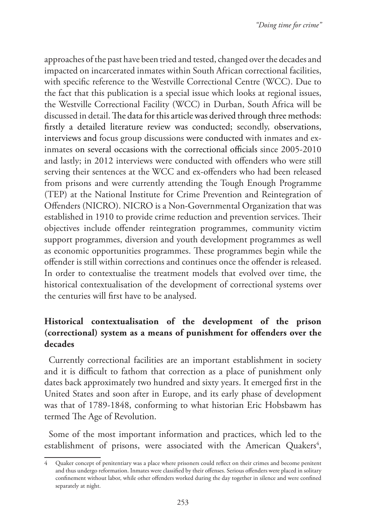approaches of the past have been tried and tested, changed over the decades and impacted on incarcerated inmates within South African correctional facilities, with specific reference to the Westville Correctional Centre (WCC). Due to the fact that this publication is a special issue which looks at regional issues, the Westville Correctional Facility (WCC) in Durban, South Africa will be discussed in detail. The data for this article was derived through three methods: firstly a detailed literature review was conducted; secondly, observations, interviews and focus group discussions were conducted with inmates and exinmates on several occasions with the correctional officials since 2005-2010 and lastly; in 2012 interviews were conducted with offenders who were still serving their sentences at the WCC and ex-offenders who had been released from prisons and were currently attending the Tough Enough Programme (TEP) at the National Institute for Crime Prevention and Reintegration of Offenders (NICRO). NICRO is a Non-Governmental Organization that was established in 1910 to provide crime reduction and prevention services. Their objectives include offender reintegration programmes, community victim support programmes, diversion and youth development programmes as well as economic opportunities programmes. These programmes begin while the offender is still within corrections and continues once the offender is released. In order to contextualise the treatment models that evolved over time, the historical contextualisation of the development of correctional systems over the centuries will first have to be analysed.

## **Historical contextualisation of the development of the prison (correctional) system as a means of punishment for offenders over the decades**

Currently correctional facilities are an important establishment in society and it is difficult to fathom that correction as a place of punishment only dates back approximately two hundred and sixty years. It emerged first in the United States and soon after in Europe, and its early phase of development was that of 1789-1848, conforming to what historian Eric Hobsbawm has termed The Age of Revolution.

Some of the most important information and practices, which led to the establishment of prisons, were associated with the American Quakers<sup>4</sup>,

<sup>4</sup> Quaker concept of penitentiary was a place where prisoners could reflect on their crimes and become penitent and thus undergo reformation. Inmates were classified by their offenses. Serious offenders were placed in solitary confinement without labor, while other offenders worked during the day together in silence and were confined separately at night.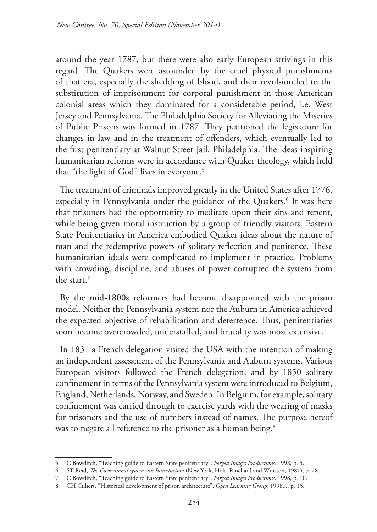around the year 1787, but there were also early European strivings in this regard. The Quakers were astounded by the cruel physical punishments of that era, especially the shedding of blood, and their revulsion led to the substitution of imprisonment for corporal punishment in those American colonial areas which they dominated for a considerable period, i.e. West Jersey and Pennsylvania. The Philadelphia Society for Alleviating the Miseries of Public Prisons was formed in 1787. They petitioned the legislature for changes in law and in the treatment of offenders, which eventually led to the first penitentiary at Walnut Street Jail, Philadelphia. The ideas inspiring humanitarian reforms were in accordance with Quaker theology, which held that "the light of God" lives in everyone.<sup>5</sup>

The treatment of criminals improved greatly in the United States after 1776, especially in Pennsylvania under the guidance of the Quakers.6 It was here that prisoners had the opportunity to meditate upon their sins and repent, while being given moral instruction by a group of friendly visitors. Eastern State Penitentiaries in America embodied Quaker ideas about the nature of man and the redemptive powers of solitary reflection and penitence. These humanitarian ideals were complicated to implement in practice. Problems with crowding, discipline, and abuses of power corrupted the system from the start.*<sup>7</sup>*

By the mid-1800s reformers had become disappointed with the prison model. Neither the Pennsylvania system nor the Auburn in America achieved the expected objective of rehabilitation and deterrence. Thus, penitentiaries soon became overcrowded, understaffed, and brutality was most extensive.

In 1831 a French delegation visited the USA with the intention of making an independent assessment of the Pennsylvania and Auburn systems. Various European visitors followed the French delegation, and by 1850 solitary confinement in terms of the Pennsylvania system were introduced to Belgium, England, Netherlands, Norway, and Sweden. In Belgium, for example, solitary confinement was carried through to exercise yards with the wearing of masks for prisoners and the use of numbers instead of names. The purpose hereof was to negate all reference to the prisoner as a human being.<sup>8</sup>

<sup>5</sup> C Bowditch, "Teaching guide to Eastern State penitentiary", *Forged Images Productions,* 1998, p. 5.

<sup>6</sup> ST Reid, *The Correctional system. An Introduction* (New York, Holt, Rinehard and Winston, 1981), p. 28.

<sup>7</sup> C Bowditch, "Teaching guide to Eastern State penitentiary", *Forged Images Productions,* 1998, p. 10.

<sup>8</sup> CH Cilliers, "Historical development of prison architecture", *Open Learning Group*, 1998..., p. 15.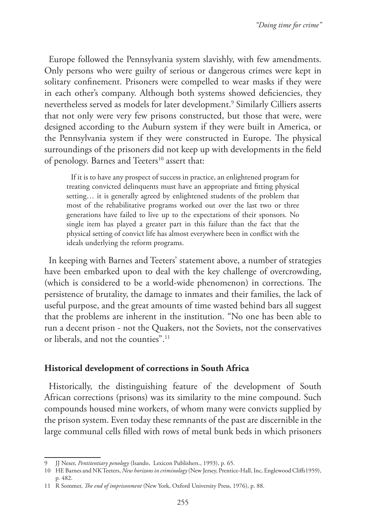Europe followed the Pennsylvania system slavishly, with few amendments. Only persons who were guilty of serious or dangerous crimes were kept in solitary confinement. Prisoners were compelled to wear masks if they were in each other's company. Although both systems showed deficiencies, they nevertheless served as models for later development.9 Similarly Cilliers asserts that not only were very few prisons constructed, but those that were, were designed according to the Auburn system if they were built in America, or the Pennsylvania system if they were constructed in Europe. The physical surroundings of the prisoners did not keep up with developments in the field of penology. Barnes and Teeters<sup>10</sup> assert that:

If it is to have any prospect of success in practice, an enlightened program for treating convicted delinquents must have an appropriate and fitting physical setting… it is generally agreed by enlightened students of the problem that most of the rehabilitative programs worked out over the last two or three generations have failed to live up to the expectations of their sponsors. No single item has played a greater part in this failure than the fact that the physical setting of convict life has almost everywhere been in conflict with the ideals underlying the reform programs.

In keeping with Barnes and Teeters' statement above, a number of strategies have been embarked upon to deal with the key challenge of overcrowding, (which is considered to be a world-wide phenomenon) in corrections. The persistence of brutality, the damage to inmates and their families, the lack of useful purpose, and the great amounts of time wasted behind bars all suggest that the problems are inherent in the institution. "No one has been able to run a decent prison - not the Quakers, not the Soviets, not the conservatives or liberals, and not the counties".<sup>11</sup>

### **Historical development of corrections in South Africa**

Historically, the distinguishing feature of the development of South African corrections (prisons) was its similarity to the mine compound. Such compounds housed mine workers, of whom many were convicts supplied by the prison system. Even today these remnants of the past are discernible in the large communal cells filled with rows of metal bunk beds in which prisoners

<sup>9</sup> JJ Neser, *Pentitentiary penology* (Isando, Lexicon Publishers., 1993), p. 65.

<sup>10</sup> HE Barnes and NK Teeters, *New horizons in criminology* (New Jersey, Prentice-Hall, Inc, Englewood Cliffs1959), p. 482.

<sup>11</sup> R Sommer, *The end of imprisonment* (New York, Oxford University Press, 1976), p. 88.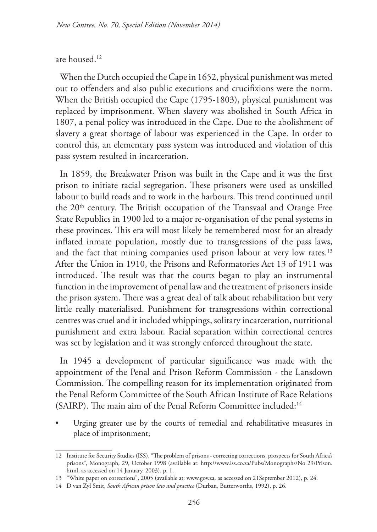#### are housed.12

When the Dutch occupied the Cape in 1652, physical punishment was meted out to offenders and also public executions and crucifixions were the norm. When the British occupied the Cape (1795-1803), physical punishment was replaced by imprisonment. When slavery was abolished in South Africa in 1807, a penal policy was introduced in the Cape. Due to the abolishment of slavery a great shortage of labour was experienced in the Cape. In order to control this, an elementary pass system was introduced and violation of this pass system resulted in incarceration.

In 1859, the Breakwater Prison was built in the Cape and it was the first prison to initiate racial segregation. These prisoners were used as unskilled labour to build roads and to work in the harbours. This trend continued until the 20<sup>th</sup> century. The British occupation of the Transvaal and Orange Free State Republics in 1900 led to a major re-organisation of the penal systems in these provinces. This era will most likely be remembered most for an already inflated inmate population, mostly due to transgressions of the pass laws, and the fact that mining companies used prison labour at very low rates.<sup>13</sup> After the Union in 1910, the Prisons and Reformatories Act 13 of 1911 was introduced. The result was that the courts began to play an instrumental function in the improvement of penal law and the treatment of prisoners inside the prison system. There was a great deal of talk about rehabilitation but very little really materialised. Punishment for transgressions within correctional centres was cruel and it included whippings, solitary incarceration, nutritional punishment and extra labour. Racial separation within correctional centres was set by legislation and it was strongly enforced throughout the state.

In 1945 a development of particular significance was made with the appointment of the Penal and Prison Reform Commission - the Lansdown Commission. The compelling reason for its implementation originated from the Penal Reform Committee of the South African Institute of Race Relations (SAIRP). The main aim of the Penal Reform Committee included:<sup>14</sup>

• Urging greater use by the courts of remedial and rehabilitative measures in place of imprisonment;

<sup>12</sup> Institute for Security Studies (ISS), "The problem of prisons - correcting corrections, prospects for South Africa's prisons", Monograph, 29, October 1998 (available at: http://www.iss.co.za/Pubs/Monographs/No 29/Prison. html, as accessed on 14 January. 2003), p. 1.

<sup>13</sup> "White paper on corrections", 2005 (available at: www.gov.za, as accessed on 21September 2012), p. 24.

<sup>14</sup> D van Zyl Smit, *South African prison law and practice* (Durban, Butterworths, 1992), p. 26.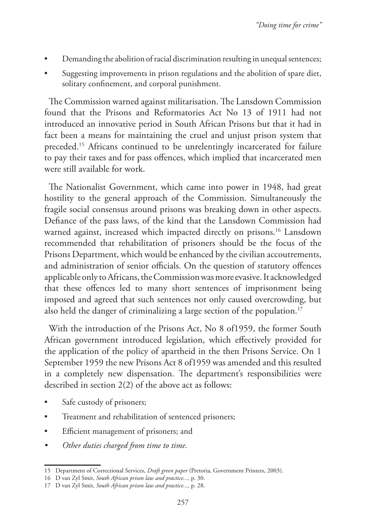- Demanding the abolition of racial discrimination resulting in unequal sentences;
- Suggesting improvements in prison regulations and the abolition of spare diet, solitary confinement, and corporal punishment.

The Commission warned against militarisation. The Lansdown Commission found that the Prisons and Reformatories Act No 13 of 1911 had not introduced an innovative period in South African Prisons but that it had in fact been a means for maintaining the cruel and unjust prison system that preceded.15 Africans continued to be unrelentingly incarcerated for failure to pay their taxes and for pass offences, which implied that incarcerated men were still available for work.

The Nationalist Government, which came into power in 1948, had great hostility to the general approach of the Commission. Simultaneously the fragile social consensus around prisons was breaking down in other aspects. Defiance of the pass laws, of the kind that the Lansdown Commission had warned against, increased which impacted directly on prisons.<sup>16</sup> Lansdown recommended that rehabilitation of prisoners should be the focus of the Prisons Department, which would be enhanced by the civilian accoutrements, and administration of senior officials. On the question of statutory offences applicable only to Africans, the Commission was more evasive. It acknowledged that these offences led to many short sentences of imprisonment being imposed and agreed that such sentences not only caused overcrowding, but also held the danger of criminalizing a large section of the population.17

With the introduction of the Prisons Act, No 8 of1959, the former South African government introduced legislation, which effectively provided for the application of the policy of apartheid in the then Prisons Service. On 1 September 1959 the new Prisons Act 8 of1959 was amended and this resulted in a completely new dispensation. The department's responsibilities were described in section 2(2) of the above act as follows:

- Safe custody of prisoners;
- Treatment and rehabilitation of sentenced prisoners;
- Efficient management of prisoners; and
- *• Other duties charged from time to time*.

<sup>15</sup> Department of Correctional Services, *Draft green paper* (Pretoria, Government Printers, 2003).

<sup>16</sup> D van Zyl Smit, *South African prison law and practice...*, p. 30.

<sup>17</sup> D van Zyl Smit, *South African prison law and practice...,* p. 28.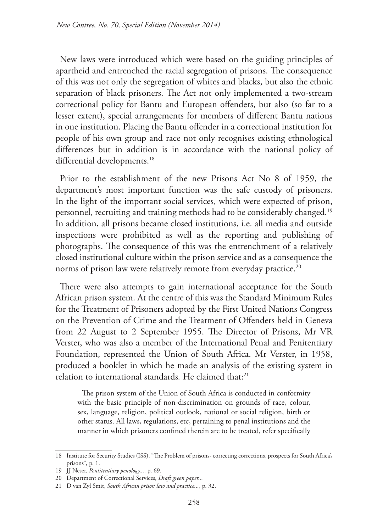New laws were introduced which were based on the guiding principles of apartheid and entrenched the racial segregation of prisons. The consequence of this was not only the segregation of whites and blacks, but also the ethnic separation of black prisoners. The Act not only implemented a two-stream correctional policy for Bantu and European offenders, but also (so far to a lesser extent), special arrangements for members of different Bantu nations in one institution. Placing the Bantu offender in a correctional institution for people of his own group and race not only recognises existing ethnological differences but in addition is in accordance with the national policy of differential developments.<sup>18</sup>

Prior to the establishment of the new Prisons Act No 8 of 1959, the department's most important function was the safe custody of prisoners. In the light of the important social services, which were expected of prison, personnel, recruiting and training methods had to be considerably changed.19 In addition, all prisons became closed institutions, i.e. all media and outside inspections were prohibited as well as the reporting and publishing of photographs. The consequence of this was the entrenchment of a relatively closed institutional culture within the prison service and as a consequence the norms of prison law were relatively remote from everyday practice.<sup>20</sup>

There were also attempts to gain international acceptance for the South African prison system. At the centre of this was the Standard Minimum Rules for the Treatment of Prisoners adopted by the First United Nations Congress on the Prevention of Crime and the Treatment of Offenders held in Geneva from 22 August to 2 September 1955. The Director of Prisons, Mr VR Verster, who was also a member of the International Penal and Penitentiary Foundation, represented the Union of South Africa. Mr Verster, in 1958, produced a booklet in which he made an analysis of the existing system in relation to international standards. He claimed that:<sup>21</sup>

The prison system of the Union of South Africa is conducted in conformity with the basic principle of non-discrimination on grounds of race, colour, sex, language, religion, political outlook, national or social religion, birth or other status. All laws, regulations, etc, pertaining to penal institutions and the manner in which prisoners confined therein are to be treated, refer specifically

<sup>18</sup> Institute for Security Studies (ISS), "The Problem of prisons- correcting corrections, prospects for South Africa's prisons", p. 1.

<sup>19</sup> JJ Neser, *Pentitentiary penology...,* p. 69.

<sup>20</sup> Department of Correctional Services, *Draft green paper...*

<sup>21</sup> D van Zyl Smit, *South African prison law and practice...*, p. 32.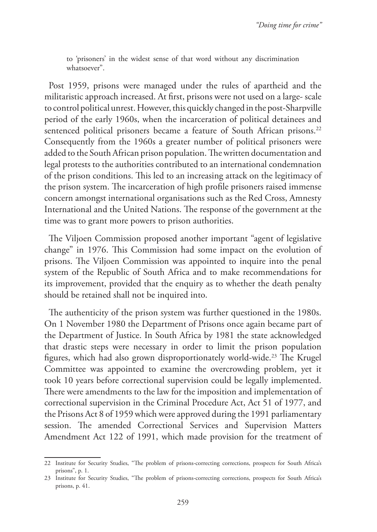to 'prisoners' in the widest sense of that word without any discrimination whatsoever".

Post 1959, prisons were managed under the rules of apartheid and the militaristic approach increased. At first, prisons were not used on a large- scale to control political unrest. However, this quickly changed in the post-Sharpville period of the early 1960s, when the incarceration of political detainees and sentenced political prisoners became a feature of South African prisons.<sup>22</sup> Consequently from the 1960s a greater number of political prisoners were added to the South African prison population. The written documentation and legal protests to the authorities contributed to an international condemnation of the prison conditions. This led to an increasing attack on the legitimacy of the prison system. The incarceration of high profile prisoners raised immense concern amongst international organisations such as the Red Cross, Amnesty International and the United Nations. The response of the government at the time was to grant more powers to prison authorities.

The Viljoen Commission proposed another important "agent of legislative change" in 1976. This Commission had some impact on the evolution of prisons. The Viljoen Commission was appointed to inquire into the penal system of the Republic of South Africa and to make recommendations for its improvement, provided that the enquiry as to whether the death penalty should be retained shall not be inquired into.

The authenticity of the prison system was further questioned in the 1980s. On 1 November 1980 the Department of Prisons once again became part of the Department of Justice. In South Africa by 1981 the state acknowledged that drastic steps were necessary in order to limit the prison population figures, which had also grown disproportionately world-wide.<sup>23</sup> The Krugel Committee was appointed to examine the overcrowding problem, yet it took 10 years before correctional supervision could be legally implemented. There were amendments to the law for the imposition and implementation of correctional supervision in the Criminal Procedure Act, Act 51 of 1977, and the Prisons Act 8 of 1959 which were approved during the 1991 parliamentary session. The amended Correctional Services and Supervision Matters Amendment Act 122 of 1991, which made provision for the treatment of

<sup>22</sup> Institute for Security Studies, "The problem of prisons-correcting corrections, prospects for South Africa's prisons", p. 1.

<sup>23</sup> Institute for Security Studies, "The problem of prisons-correcting corrections, prospects for South Africa's prisons, p. 41.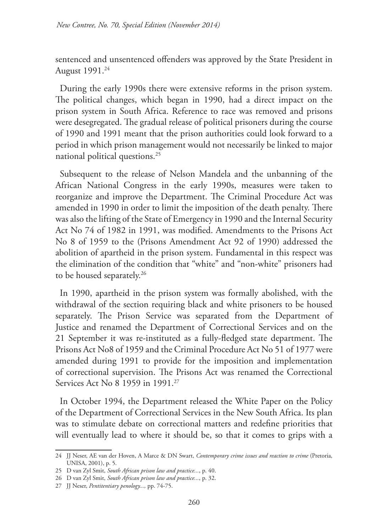sentenced and unsentenced offenders was approved by the State President in August 1991.24

During the early 1990s there were extensive reforms in the prison system. The political changes, which began in 1990, had a direct impact on the prison system in South Africa. Reference to race was removed and prisons were desegregated. The gradual release of political prisoners during the course of 1990 and 1991 meant that the prison authorities could look forward to a period in which prison management would not necessarily be linked to major national political questions.25

Subsequent to the release of Nelson Mandela and the unbanning of the African National Congress in the early 1990s, measures were taken to reorganize and improve the Department. The Criminal Procedure Act was amended in 1990 in order to limit the imposition of the death penalty. There was also the lifting of the State of Emergency in 1990 and the Internal Security Act No 74 of 1982 in 1991, was modified. Amendments to the Prisons Act No 8 of 1959 to the (Prisons Amendment Act 92 of 1990) addressed the abolition of apartheid in the prison system. Fundamental in this respect was the elimination of the condition that "white" and "non-white" prisoners had to be housed separately.<sup>26</sup>

In 1990, apartheid in the prison system was formally abolished, with the withdrawal of the section requiring black and white prisoners to be housed separately. The Prison Service was separated from the Department of Justice and renamed the Department of Correctional Services and on the 21 September it was re-instituted as a fully-fledged state department. The Prisons Act No8 of 1959 and the Criminal Procedure Act No 51 of 1977 were amended during 1991 to provide for the imposition and implementation of correctional supervision. The Prisons Act was renamed the Correctional Services Act No 8 1959 in 1991.27

In October 1994, the Department released the White Paper on the Policy of the Department of Correctional Services in the New South Africa. Its plan was to stimulate debate on correctional matters and redefine priorities that will eventually lead to where it should be, so that it comes to grips with a

<sup>24</sup> JJ Neser, AE van der Hoven, A Marce & DN Swart, *Contemporary crime issues and reaction to crime* (Pretoria, UNISA, 2001), p. 5.

<sup>25</sup> D van Zyl Smit, *South African prison law and practice...*, p. 40.

<sup>26</sup> D van Zyl Smit, *South African prison law and practice...*, p. 32.

<sup>27</sup> JJ Neser, *Pentitentiary penology...,* pp. 74-75.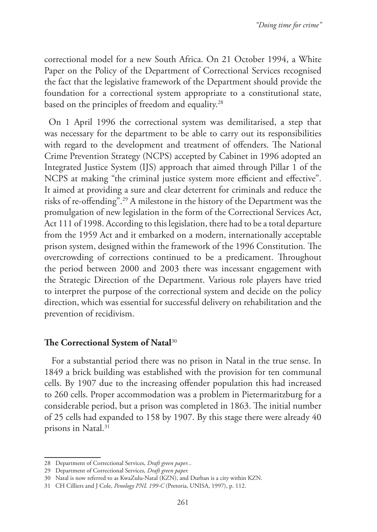correctional model for a new South Africa. On 21 October 1994, a White Paper on the Policy of the Department of Correctional Services recognised the fact that the legislative framework of the Department should provide the foundation for a correctional system appropriate to a constitutional state, based on the principles of freedom and equality.<sup>28</sup>

On 1 April 1996 the correctional system was demilitarised, a step that was necessary for the department to be able to carry out its responsibilities with regard to the development and treatment of offenders. The National Crime Prevention Strategy (NCPS) accepted by Cabinet in 1996 adopted an Integrated Justice System (IJS) approach that aimed through Pillar 1 of the NCPS at making "the criminal justice system more efficient and effective". It aimed at providing a sure and clear deterrent for criminals and reduce the risks of re-offending".29 A milestone in the history of the Department was the promulgation of new legislation in the form of the Correctional Services Act, Act 111 of 1998. According to this legislation, there had to be a total departure from the 1959 Act and it embarked on a modern, internationally acceptable prison system, designed within the framework of the 1996 Constitution*.* The overcrowding of corrections continued to be a predicament. Throughout the period between 2000 and 2003 there was incessant engagement with the Strategic Direction of the Department. Various role players have tried to interpret the purpose of the correctional system and decide on the policy direction, which was essential for successful delivery on rehabilitation and the prevention of recidivism.

### **The Correctional System of Natal**<sup>30</sup>

 For a substantial period there was no prison in Natal in the true sense. In 1849 a brick building was established with the provision for ten communal cells. By 1907 due to the increasing offender population this had increased to 260 cells. Proper accommodation was a problem in Pietermaritzburg for a considerable period, but a prison was completed in 1863. The initial number of 25 cells had expanded to 158 by 1907. By this stage there were already 40 prisons in Natal.<sup>31</sup>

<sup>28</sup> Department of Correctional Services, *Draft green paper...* 

<sup>29</sup> Department of Correctional Services, *Draft green paper.*

<sup>30</sup> Natal is now referred to as KwaZulu-Natal (KZN), and Durban is a city within KZN.

<sup>31</sup> CH Cilliers and J Cole, *Penology PNL 199-C* (Pretoria, UNISA, 1997), p. 112.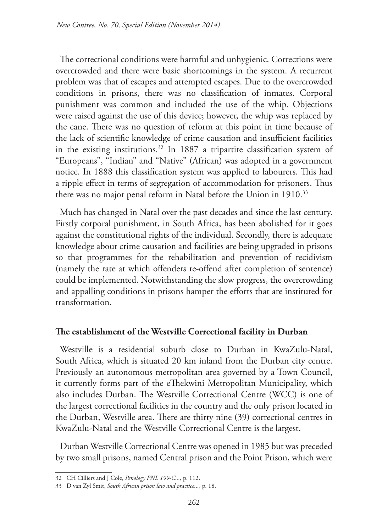The correctional conditions were harmful and unhygienic. Corrections were overcrowded and there were basic shortcomings in the system. A recurrent problem was that of escapes and attempted escapes. Due to the overcrowded conditions in prisons, there was no classification of inmates. Corporal punishment was common and included the use of the whip. Objections were raised against the use of this device; however, the whip was replaced by the cane. There was no question of reform at this point in time because of the lack of scientific knowledge of crime causation and insufficient facilities in the existing institutions.<sup>32</sup> In 1887 a tripartite classification system of "Europeans", "Indian" and "Native" (African) was adopted in a government notice. In 1888 this classification system was applied to labourers. This had a ripple effect in terms of segregation of accommodation for prisoners. Thus there was no major penal reform in Natal before the Union in 1910.<sup>33</sup>

Much has changed in Natal over the past decades and since the last century. Firstly corporal punishment, in South Africa, has been abolished for it goes against the constitutional rights of the individual. Secondly, there is adequate knowledge about crime causation and facilities are being upgraded in prisons so that programmes for the rehabilitation and prevention of recidivism (namely the rate at which offenders re-offend after completion of sentence) could be implemented. Notwithstanding the slow progress, the overcrowding and appalling conditions in prisons hamper the efforts that are instituted for transformation.

### **The establishment of the Westville Correctional facility in Durban**

Westville is a residential suburb close to Durban in KwaZulu-Natal, South Africa, which is situated 20 km inland from the Durban city centre. Previously an autonomous metropolitan area governed by a Town Council, it currently forms part of the eThekwini Metropolitan Municipality, which also includes Durban. The Westville Correctional Centre (WCC) is one of the largest correctional facilities in the country and the only prison located in the Durban, Westville area. There are thirty nine (39) correctional centres in KwaZulu-Natal and the Westville Correctional Centre is the largest.

Durban Westville Correctional Centre was opened in 1985 but was preceded by two small prisons, named Central prison and the Point Prison, which were

<sup>32</sup> CH Cilliers and J Cole, *Penology PNL 199-C...,* p. 112.

<sup>33</sup> D van Zyl Smit, *South African prison law and practice...*, p. 18.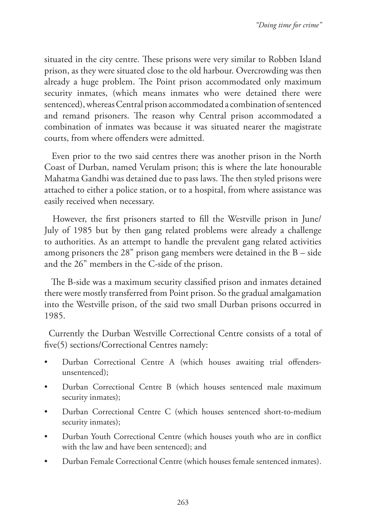situated in the city centre. These prisons were very similar to Robben Island prison, as they were situated close to the old harbour. Overcrowding was then already a huge problem. The Point prison accommodated only maximum security inmates, (which means inmates who were detained there were sentenced), whereas Central prison accommodated a combination of sentenced and remand prisoners. The reason why Central prison accommodated a combination of inmates was because it was situated nearer the magistrate courts, from where offenders were admitted.

 Even prior to the two said centres there was another prison in the North Coast of Durban, named Verulam prison; this is where the late honourable Mahatma Gandhi was detained due to pass laws. The then styled prisons were attached to either a police station, or to a hospital, from where assistance was easily received when necessary.

 However, the first prisoners started to fill the Westville prison in June/ July of 1985 but by then gang related problems were already a challenge to authorities. As an attempt to handle the prevalent gang related activities among prisoners the 28" prison gang members were detained in the B – side and the 26" members in the C-side of the prison.

 The B-side was a maximum security classified prison and inmates detained there were mostly transferred from Point prison. So the gradual amalgamation into the Westville prison, of the said two small Durban prisons occurred in 1985.

Currently the Durban Westville Correctional Centre consists of a total of five(5) sections/Correctional Centres namely:

- Durban Correctional Centre A (which houses awaiting trial offendersunsentenced);
- Durban Correctional Centre B (which houses sentenced male maximum security inmates);
- Durban Correctional Centre C (which houses sentenced short-to-medium security inmates);
- Durban Youth Correctional Centre (which houses youth who are in conflict with the law and have been sentenced); and
- Durban Female Correctional Centre (which houses female sentenced inmates).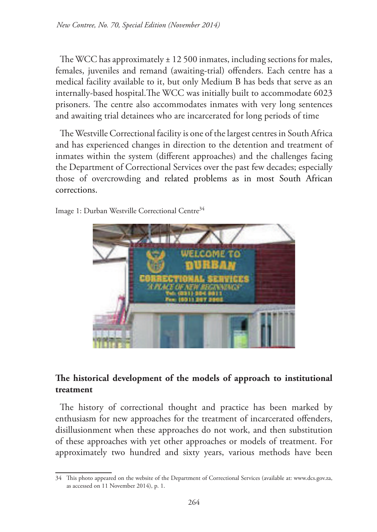The WCC has approximately  $\pm$  12 500 inmates, including sections for males, females, juveniles and remand (awaiting-trial) offenders. Each centre has a medical facility available to it, but only Medium B has beds that serve as an internally-based hospital. The WCC was initially built to accommodate 6023 prisoners. The centre also accommodates inmates with very long sentences and awaiting trial detainees who are incarcerated for long periods of time

The Westville Correctional facility is one of the largest centres in South Africa and has experienced changes in direction to the detention and treatment of inmates within the system (different approaches) and the challenges facing the Department of Correctional Services over the past few decades; especially those of overcrowding and related problems as in most South African corrections.



Image 1: Durban Westville Correctional Centre<sup>34</sup>

## The historical development of the models of approach to institutional **treatment**

The history of correctional thought and practice has been marked by enthusiasm for new approaches for the treatment of incarcerated offenders, disillusionment when these approaches do not work, and then substitution of these approaches with yet other approaches or models of treatment. For approximately two hundred and sixty years, various methods have been

<sup>34</sup> This photo appeared on the website of the Department of Correctional Services (available at: www.dcs.gov.za, as accessed on 11 November 2014), p. 1.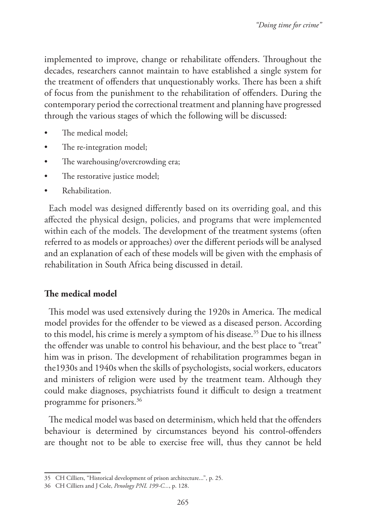implemented to improve, change or rehabilitate offenders. Throughout the decades, researchers cannot maintain to have established a single system for the treatment of offenders that unquestionably works. There has been a shift of focus from the punishment to the rehabilitation of offenders. During the contemporary period the correctional treatment and planning have progressed through the various stages of which the following will be discussed:

- The medical model:
- The re-integration model;
- The warehousing/overcrowding era;
- The restorative justice model;
- Rehabilitation.

Each model was designed differently based on its overriding goal, and this affected the physical design, policies, and programs that were implemented within each of the models. The development of the treatment systems (often referred to as models or approaches) over the different periods will be analysed and an explanation of each of these models will be given with the emphasis of rehabilitation in South Africa being discussed in detail.

### **The medical model**

This model was used extensively during the 1920s in America. The medical model provides for the offender to be viewed as a diseased person. According to this model, his crime is merely a symptom of his disease.<sup>35</sup> Due to his illness the offender was unable to control his behaviour, and the best place to "treat" him was in prison. The development of rehabilitation programmes began in the1930s and 1940s when the skills of psychologists, social workers, educators and ministers of religion were used by the treatment team. Although they could make diagnoses, psychiatrists found it difficult to design a treatment programme for prisoners.36

The medical model was based on determinism, which held that the offenders behaviour is determined by circumstances beyond his control-offenders are thought not to be able to exercise free will, thus they cannot be held

<sup>35</sup> CH Cilliers, "Historical development of prison architecture...", p. 25.

<sup>36</sup> CH Cilliers and J Cole, *Penology PNL 199-C...*, p. 128.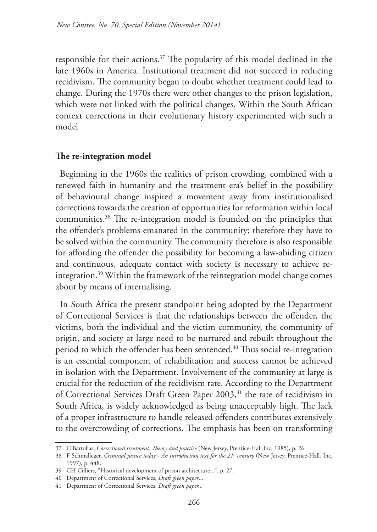responsible for their actions.37 The popularity of this model declined in the late 1960s in America. Institutional treatment did not succeed in reducing recidivism. The community began to doubt whether treatment could lead to change. During the 1970s there were other changes to the prison legislation, which were not linked with the political changes. Within the South African context corrections in their evolutionary history experimented with such a model

#### **The re-integration model**

Beginning in the 1960s the realities of prison crowding, combined with a renewed faith in humanity and the treatment era's belief in the possibility of behavioural change inspired a movement away from institutionalised corrections towards the creation of opportunities for reformation within local communities.38 The re-integration model is founded on the principles that the offender's problems emanated in the community; therefore they have to be solved within the community. The community therefore is also responsible for affording the offender the possibility for becoming a law-abiding citizen and continuous, adequate contact with society is necessary to achieve reintegration.39 Within the framework of the reintegration model change comes about by means of internalising.

In South Africa the present standpoint being adopted by the Department of Correctional Services is that the relationships between the offender, the victims, both the individual and the victim community, the community of origin, and society at large need to be nurtured and rebuilt throughout the period to which the offender has been sentenced.<sup>40</sup> Thus social re-integration is an essential component of rehabilitation and success cannot be achieved in isolation with the Department. Involvement of the community at large is crucial for the reduction of the recidivism rate. According to the Department of Correctional Services Draft Green Paper 2003,<sup>41</sup> the rate of recidivism in South Africa, is widely acknowledged as being unacceptably high. The lack of a proper infrastructure to handle released offenders contributes extensively to the overcrowding of corrections. The emphasis has been on transforming

<sup>37</sup> C Bartollas, *Correctional treatment: Theory and practice* (New Jersey, Prentice-Hall Inc, 1985), p. 26.

<sup>38</sup> F Schmalleger, *Criminal justice today - An introduction text for the 21st century* (New Jersey, Prentice-Hall, Inc. 1997), p. 448.

<sup>39</sup> CH Cilliers, "Historical development of prison architecture...", p. 27.

<sup>40</sup> Department of Correctional Services, *Draft green paper*...

<sup>41</sup> Department of Correctional Services, *Draft green paper...*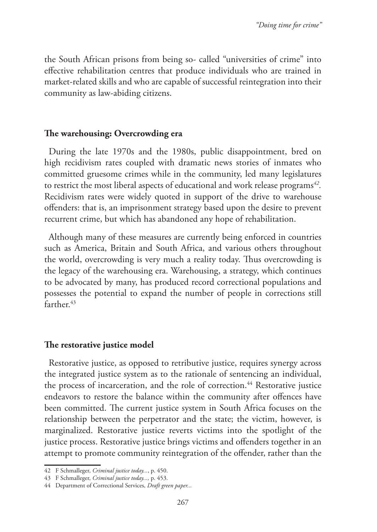the South African prisons from being so- called "universities of crime" into effective rehabilitation centres that produce individuals who are trained in market-related skills and who are capable of successful reintegration into their community as law-abiding citizens.

#### **The warehousing: Overcrowding era**

During the late 1970s and the 1980s, public disappointment, bred on high recidivism rates coupled with dramatic news stories of inmates who committed gruesome crimes while in the community, led many legislatures to restrict the most liberal aspects of educational and work release programs*42.* Recidivism rates were widely quoted in support of the drive to warehouse offenders: that is, an imprisonment strategy based upon the desire to prevent recurrent crime, but which has abandoned any hope of rehabilitation.

Although many of these measures are currently being enforced in countries such as America, Britain and South Africa, and various others throughout the world, overcrowding is very much a reality today. Thus overcrowding is the legacy of the warehousing era. Warehousing, a strategy, which continues to be advocated by many, has produced record correctional populations and possesses the potential to expand the number of people in corrections still farther.43

### **The restorative justice model**

Restorative justice, as opposed to retributive justice, requires synergy across the integrated justice system as to the rationale of sentencing an individual, the process of incarceration, and the role of correction.<sup>44</sup> Restorative justice endeavors to restore the balance within the community after offences have been committed. The current justice system in South Africa focuses on the relationship between the perpetrator and the state; the victim, however, is marginalized. Restorative justice reverts victims into the spotlight of the justice process. Restorative justice brings victims and offenders together in an attempt to promote community reintegration of the offender, rather than the

<sup>42</sup> F Schmalleger, *Criminal justice today...*, p. 450.

<sup>43</sup> F Schmalleger, *Criminal justice today...,* p. 453.

<sup>44</sup> Department of Correctional Services, *Draft green paper...*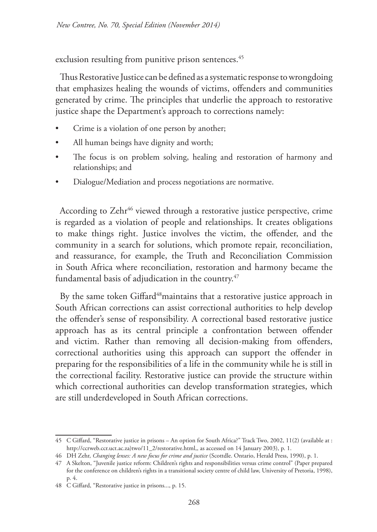exclusion resulting from punitive prison sentences.<sup>45</sup>

Thus Restorative Justice can be defined as a systematic response to wrongdoing that emphasizes healing the wounds of victims, offenders and communities generated by crime. The principles that underlie the approach to restorative justice shape the Department's approach to corrections namely:

- Crime is a violation of one person by another;
- All human beings have dignity and worth;
- The focus is on problem solving, healing and restoration of harmony and relationships; and
- Dialogue/Mediation and process negotiations are normative.

According to Zehr<sup>46</sup> viewed through a restorative justice perspective, crime is regarded as a violation of people and relationships. It creates obligations to make things right. Justice involves the victim, the offender, and the community in a search for solutions, which promote repair, reconciliation, and reassurance, for example, the Truth and Reconciliation Commission in South Africa where reconciliation, restoration and harmony became the fundamental basis of adjudication in the country. $47$ 

By the same token Giffard<sup>48</sup>maintains that a restorative justice approach in South African corrections can assist correctional authorities to help develop the offender's sense of responsibility. A correctional based restorative justice approach has as its central principle a confrontation between offender and victim. Rather than removing all decision-making from offenders, correctional authorities using this approach can support the offender in preparing for the responsibilities of a life in the community while he is still in the correctional facility. Restorative justice can provide the structure within which correctional authorities can develop transformation strategies, which are still underdeveloped in South African corrections.

<sup>45</sup> C Giffard, "Restorative justice in prisons – An option for South Africa?" Track Two, 2002, 11(2) (available at : http://ccrweb.ccr.uct.ac.za)two/11\_2/restorative.html,, as accessed on 14 January 2003), p. 1.

<sup>46</sup> DH Zehr, *Changing lenses: A new focus for crime and justice* (Scottdle. Ontario, Herald Press, 1990), p. 1.

<sup>47</sup> A Skelton, "Juvenile justice reform: Children's rights and responsibilities versus crime control" (Paper prepared for the conference on children's rights in a transitional society centre of child law, University of Pretoria, 1998), p. 4.

<sup>48</sup> C Giffard, "Restorative justice in prisons..., p. 15.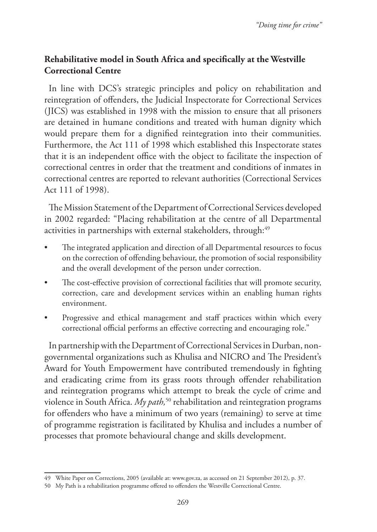## **Rehabilitative model in South Africa and specifically at the Westville Correctional Centre**

In line with DCS's strategic principles and policy on rehabilitation and reintegration of offenders, the Judicial Inspectorate for Correctional Services (JICS) was established in 1998 with the mission to ensure that all prisoners are detained in humane conditions and treated with human dignity which would prepare them for a dignified reintegration into their communities. Furthermore, the Act 111 of 1998 which established this Inspectorate states that it is an independent office with the object to facilitate the inspection of correctional centres in order that the treatment and conditions of inmates in correctional centres are reported to relevant authorities (Correctional Services Act 111 of 1998).

The Mission Statement of the Department of Correctional Services developed in 2002 regarded: "Placing rehabilitation at the centre of all Departmental activities in partnerships with external stakeholders, through:<sup>49</sup>

- The integrated application and direction of all Departmental resources to focus on the correction of offending behaviour, the promotion of social responsibility and the overall development of the person under correction.
- The cost-effective provision of correctional facilities that will promote security, correction, care and development services within an enabling human rights environment.
- Progressive and ethical management and staff practices within which every correctional official performs an effective correcting and encouraging role."

In partnership with the Department of Correctional Services in Durban, nongovernmental organizations such as Khulisa and NICRO and The President's Award for Youth Empowerment have contributed tremendously in fighting and eradicating crime from its grass roots through offender rehabilitation and reintegration programs which attempt to break the cycle of crime and violence in South Africa. *My path*,<sup>50</sup> rehabilitation and reintegration programs for offenders who have a minimum of two years (remaining) to serve at time of programme registration is facilitated by Khulisa and includes a number of processes that promote behavioural change and skills development.

<sup>49</sup> White Paper on Corrections, 2005 (available at: www.gov.za, as accessed on 21 September 2012), p. 37.

<sup>50</sup> My Path is a rehabilitation programme offered to offenders the Westville Correctional Centre.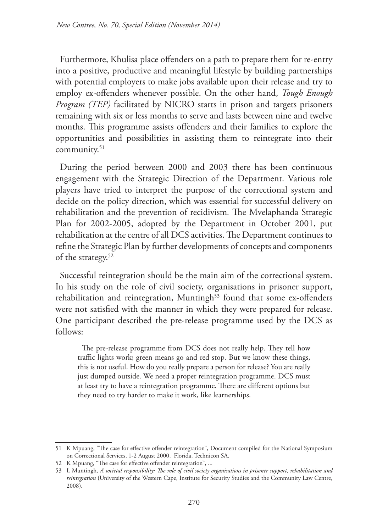Furthermore, Khulisa place offenders on a path to prepare them for re-entry into a positive, productive and meaningful lifestyle by building partnerships with potential employers to make jobs available upon their release and try to employ ex-offenders whenever possible. On the other hand, *Tough Enough Program (TEP)* facilitated by NICRO starts in prison and targets prisoners remaining with six or less months to serve and lasts between nine and twelve months. This programme assists offenders and their families to explore the opportunities and possibilities in assisting them to reintegrate into their community.<sup>51</sup>

During the period between 2000 and 2003 there has been continuous engagement with the Strategic Direction of the Department. Various role players have tried to interpret the purpose of the correctional system and decide on the policy direction, which was essential for successful delivery on rehabilitation and the prevention of recidivism*.* The Mvelaphanda Strategic Plan for 2002-2005, adopted by the Department in October 2001, put rehabilitation at the centre of all DCS activities. The Department continues to refine the Strategic Plan by further developments of concepts and components of the strategy.<sup>52</sup>

Successful reintegration should be the main aim of the correctional system. In his study on the role of civil society, organisations in prisoner support, rehabilitation and reintegration, Muntingh<sup>53</sup> found that some ex-offenders were not satisfied with the manner in which they were prepared for release. One participant described the pre-release programme used by the DCS as follows:

The pre-release programme from DCS does not really help. They tell how traffic lights work; green means go and red stop. But we know these things, this is not useful. How do you really prepare a person for release? You are really just dumped outside. We need a proper reintegration programme. DCS must at least try to have a reintegration programme. There are different options but they need to try harder to make it work, like learnerships.

<sup>51</sup> K Mpuang, "The case for effective offender reintegration", Document compiled for the National Symposium on Correctional Services, 1-2 August 2000, Florida, Technicon SA.

<sup>52</sup> K Mpuang, "The case for effective offender reintegration", ...

<sup>53</sup> L Muntingh, *A societal responsibility: The role of civil society organisations in prisoner support, rehabilitation and reintegration* (University of the Western Cape, Institute for Security Studies and the Community Law Centre, 2008).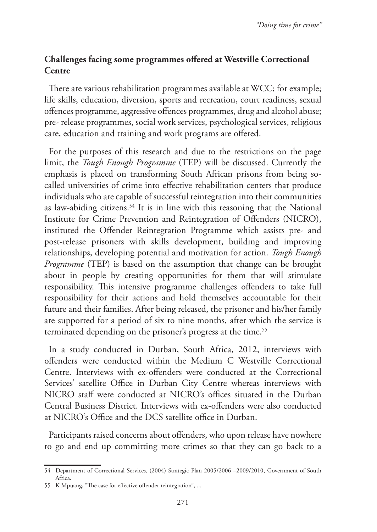## **Challenges facing some programmes offered at Westville Correctional Centre**

There are various rehabilitation programmes available at WCC; for example; life skills, education, diversion, sports and recreation, court readiness, sexual offences programme, aggressive offences programmes, drug and alcohol abuse; pre- release programmes, social work services, psychological services, religious care, education and training and work programs are offered.

For the purposes of this research and due to the restrictions on the page limit, the *Tough Enough Programme* (TEP) will be discussed. Currently the emphasis is placed on transforming South African prisons from being socalled universities of crime into effective rehabilitation centers that produce individuals who are capable of successful reintegration into their communities as law-abiding citizens.<sup>54</sup> It is in line with this reasoning that the National Institute for Crime Prevention and Reintegration of Offenders (NICRO), instituted the Offender Reintegration Programme which assists pre- and post-release prisoners with skills development, building and improving relationships, developing potential and motivation for action. *Tough Enough Programme* (TEP) is based on the assumption that change can be brought about in people by creating opportunities for them that will stimulate responsibility. This intensive programme challenges offenders to take full responsibility for their actions and hold themselves accountable for their future and their families. After being released, the prisoner and his/her family are supported for a period of six to nine months, after which the service is terminated depending on the prisoner's progress at the time.<sup>55</sup>

In a study conducted in Durban, South Africa, 2012, interviews with offenders were conducted within the Medium C Westville Correctional Centre. Interviews with ex-offenders were conducted at the Correctional Services' satellite Office in Durban City Centre whereas interviews with NICRO staff were conducted at NICRO's offices situated in the Durban Central Business District. Interviews with ex-offenders were also conducted at NICRO's Office and the DCS satellite office in Durban.

Participants raised concerns about offenders, who upon release have nowhere to go and end up committing more crimes so that they can go back to a

<sup>54</sup> Department of Correctional Services, (2004) Strategic Plan 2005/2006 –2009/2010, Government of South Africa.

<sup>55</sup> K Mpuang, "The case for effective offender reintegration", ...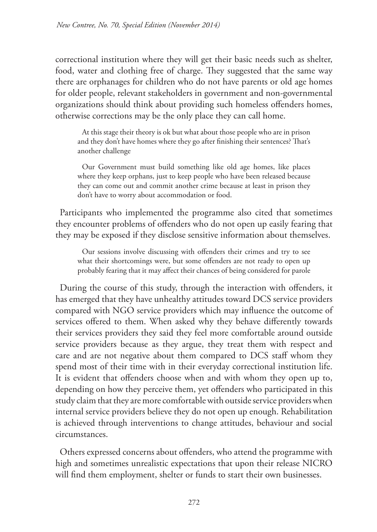correctional institution where they will get their basic needs such as shelter, food, water and clothing free of charge. They suggested that the same way there are orphanages for children who do not have parents or old age homes for older people, relevant stakeholders in government and non-governmental organizations should think about providing such homeless offenders homes, otherwise corrections may be the only place they can call home.

At this stage their theory is ok but what about those people who are in prison and they don't have homes where they go after finishing their sentences? That's another challenge

Our Government must build something like old age homes, like places where they keep orphans, just to keep people who have been released because they can come out and commit another crime because at least in prison they don't have to worry about accommodation or food.

Participants who implemented the programme also cited that sometimes they encounter problems of offenders who do not open up easily fearing that they may be exposed if they disclose sensitive information about themselves.

Our sessions involve discussing with offenders their crimes and try to see what their shortcomings were, but some offenders are not ready to open up probably fearing that it may affect their chances of being considered for parole

During the course of this study, through the interaction with offenders, it has emerged that they have unhealthy attitudes toward DCS service providers compared with NGO service providers which may influence the outcome of services offered to them. When asked why they behave differently towards their services providers they said they feel more comfortable around outside service providers because as they argue, they treat them with respect and care and are not negative about them compared to DCS staff whom they spend most of their time with in their everyday correctional institution life. It is evident that offenders choose when and with whom they open up to, depending on how they perceive them, yet offenders who participated in this study claim that they are more comfortable with outside service providers when internal service providers believe they do not open up enough. Rehabilitation is achieved through interventions to change attitudes, behaviour and social circumstances.

Others expressed concerns about offenders, who attend the programme with high and sometimes unrealistic expectations that upon their release NICRO will find them employment, shelter or funds to start their own businesses.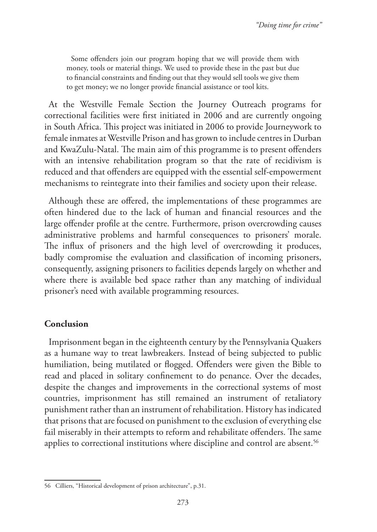Some offenders join our program hoping that we will provide them with money, tools or material things. We used to provide these in the past but due to financial constraints and finding out that they would sell tools we give them to get money; we no longer provide financial assistance or tool kits.

At the Westville Female Section the Journey Outreach programs for correctional facilities were first initiated in 2006 and are currently ongoing in South Africa. This project was initiated in 2006 to provide Journeywork to female inmates at Westville Prison and has grown to include centres in Durban and KwaZulu-Natal. The main aim of this programme is to present offenders with an intensive rehabilitation program so that the rate of recidivism is reduced and that offenders are equipped with the essential self-empowerment mechanisms to reintegrate into their families and society upon their release.

Although these are offered, the implementations of these programmes are often hindered due to the lack of human and financial resources and the large offender profile at the centre. Furthermore, prison overcrowding causes administrative problems and harmful consequences to prisoners' morale. The influx of prisoners and the high level of overcrowding it produces, badly compromise the evaluation and classification of incoming prisoners, consequently, assigning prisoners to facilities depends largely on whether and where there is available bed space rather than any matching of individual prisoner's need with available programming resources.

#### **Conclusion**

Imprisonment began in the eighteenth century by the Pennsylvania Quakers as a humane way to treat lawbreakers. Instead of being subjected to public humiliation, being mutilated or flogged. Offenders were given the Bible to read and placed in solitary confinement to do penance. Over the decades, despite the changes and improvements in the correctional systems of most countries, imprisonment has still remained an instrument of retaliatory punishment rather than an instrument of rehabilitation. History has indicated that prisons that are focused on punishment to the exclusion of everything else fail miserably in their attempts to reform and rehabilitate offenders. The same applies to correctional institutions where discipline and control are absent.<sup>56</sup>

<sup>56</sup> Cilliers, "Historical development of prison architecture", p.31.